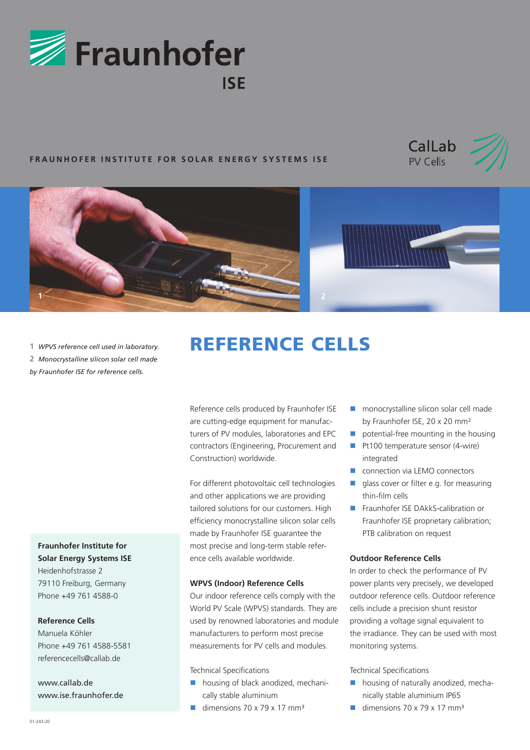

## **FRAUNHOFER INSTITUTE FOR SOLAR ENERGY SYSTEMS ISE**







**1** *WPVS reference cell used in laboratory.*  **2** *Monocrystalline silicon solar cell made by Fraunhofer ISE for reference cells.*

**Fraunhofer Institute for Solar Energy Systems ISE**

Heidenhofstrasse 2 79110 Freiburg, Germany Phone +49 761 4588-0

**Reference Cells** 

Manuela Köhler Phone +49 761 4588-5581 referencecells@callab.de

www.callab.de www.ise.fraunhofer.de

# REFERENCE CELLS

Reference cells produced by Fraunhofer ISE are cutting-edge equipment for manufacturers of PV modules, laboratories and EPC contractors (Engineering, Procurement and Construction) worldwide.

For different photovoltaic cell technologies and other applications we are providing tailored solutions for our customers. High efficiency monocrystalline silicon solar cells made by Fraunhofer ISE guarantee the most precise and long-term stable reference cells available worldwide.

#### **WPVS (Indoor) Reference Cells**

Our indoor reference cells comply with the World PV Scale (WPVS) standards. They are used by renowned laboratories and module manufacturers to perform most precise measurements for PV cells and modules.

Technical Specifications

- **housing of black anodized, mechani**cally stable aluminium
- dimensions  $70 \times 79 \times 17$  mm<sup>3</sup>
- **n** monocrystalline silicon solar cell made by Fraunhofer ISE, 20 x 20 mm²
- potential-free mounting in the housing
- Pt100 temperature sensor (4-wire) integrated
- connection via LEMO connectors
- alass cover or filter e.g. for measuring thin-film cells
- Fraunhofer ISE DAkkS-calibration or Fraunhofer ISE proprietary calibration; PTB calibration on request

### **Outdoor Reference Cells**

In order to check the performance of PV power plants very precisely, we developed outdoor reference cells. Outdoor reference cells include a precision shunt resistor providing a voltage signal equivalent to the irradiance. They can be used with most monitoring systems.

Technical Specifications

- **housing of naturally anodized, mecha**nically stable aluminium IP65
- dimensions  $70 \times 79 \times 17$  mm<sup>3</sup>